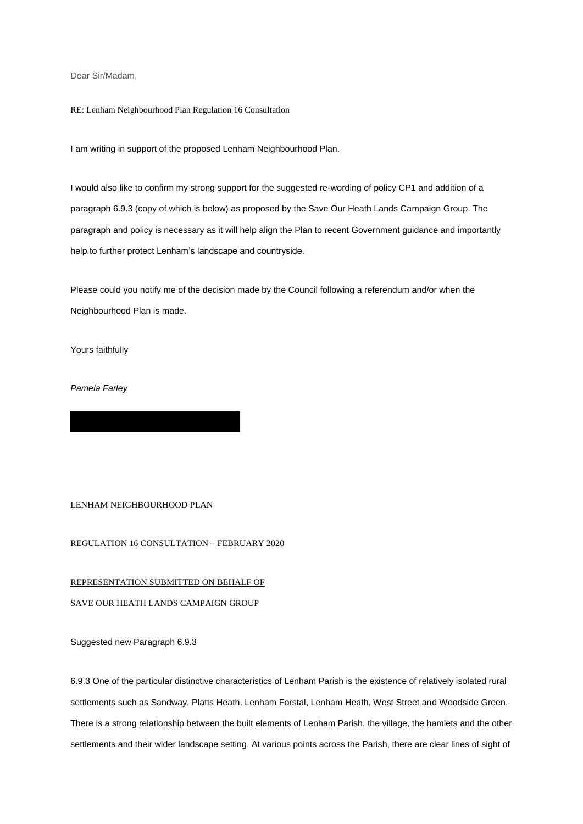Dear Sir/Madam,

RE: Lenham Neighbourhood Plan Regulation 16 Consultation

I am writing in support of the proposed Lenham Neighbourhood Plan.

I would also like to confirm my strong support for the suggested re-wording of policy CP1 and addition of a paragraph 6.9.3 (copy of which is below) as proposed by the Save Our Heath Lands Campaign Group. The paragraph and policy is necessary as it will help align the Plan to recent Government guidance and importantly help to further protect Lenham's landscape and countryside.

Please could you notify me of the decision made by the Council following a referendum and/or when the Neighbourhood Plan is made.

Yours faithfully

*Pamela Farley*

LENHAM NEIGHBOURHOOD PLAN

REGULATION 16 CONSULTATION – FEBRUARY 2020

## REPRESENTATION SUBMITTED ON BEHALF OF

## SAVE OUR HEATH LANDS CAMPAIGN GROUP

Suggested new Paragraph 6.9.3

6.9.3 One of the particular distinctive characteristics of Lenham Parish is the existence of relatively isolated rural settlements such as Sandway, Platts Heath, Lenham Forstal, Lenham Heath, West Street and Woodside Green. There is a strong relationship between the built elements of Lenham Parish, the village, the hamlets and the other settlements and their wider landscape setting. At various points across the Parish, there are clear lines of sight of